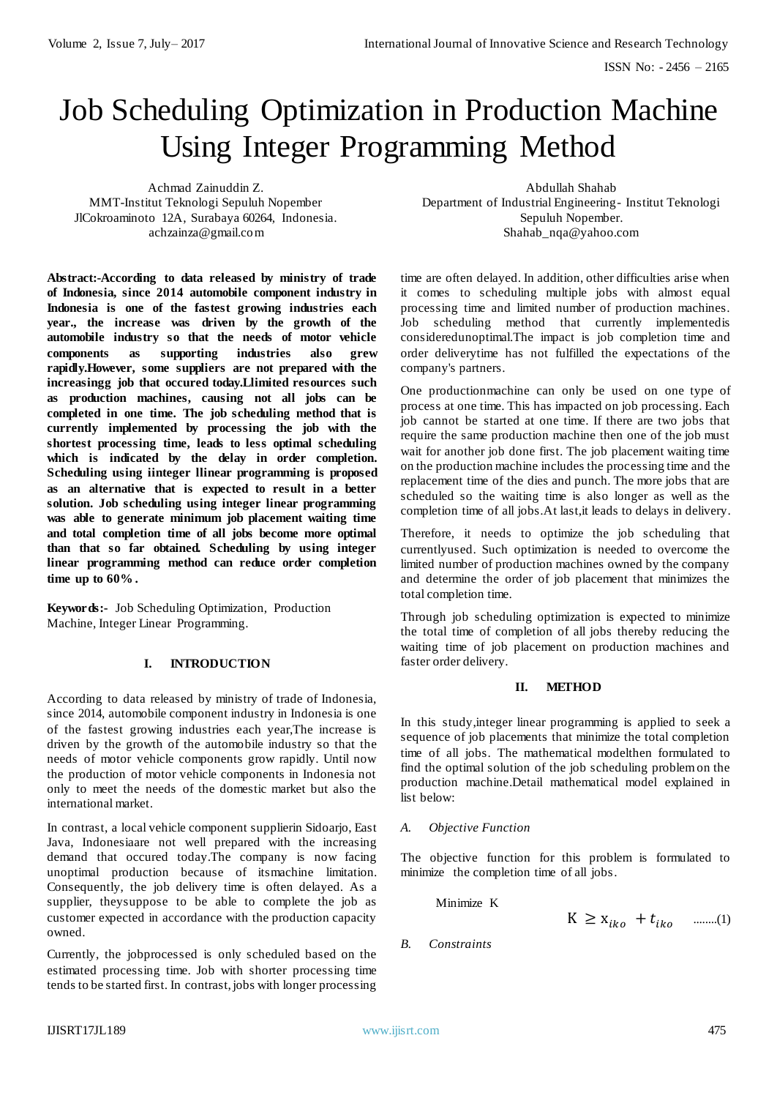# Job Scheduling Optimization in Production Machine Using Integer Programming Method

Achmad Zainuddin Z. MMT-Institut Teknologi Sepuluh Nopember JlCokroaminoto 12A, Surabaya 60264, Indonesia. achzainza@gmail.com

**Abstract:-According to data released by ministry of trade of Indonesia, since 2014 automobile component industry in Indonesia is one of the fastest growing industries each year., the increase was driven by the growth of the automobile industry so that the needs of motor vehicle components as supporting industries also grew rapidly.However, some suppliers are not prepared with the increasingg job that occured today.Llimited resources such as production machines, causing not all jobs can be completed in one time. The job scheduling method that is currently implemented by processing the job with the shortest processing time, leads to less optimal scheduling which is indicated by the delay in order completion. Scheduling using iinteger llinear programming is proposed as an alternative that is expected to result in a better solution. Job scheduling using integer linear programming was able to generate minimum job placement waiting time and total completion time of all jobs become more optimal than that so far obtained. Scheduling by using integer linear programming method can reduce order completion time up to 60%.**

**Keywords:-** Job Scheduling Optimization, Production Machine, Integer Linear Programming.

## **I. INTRODUCTION**

According to data released by ministry of trade of Indonesia, since 2014, automobile component industry in Indonesia is one of the fastest growing industries each year,The increase is driven by the growth of the automobile industry so that the needs of motor vehicle components grow rapidly. Until now the production of motor vehicle components in Indonesia not only to meet the needs of the domestic market but also the international market.

In contrast, a local vehicle component supplierin Sidoarjo, East Java, Indonesiaare not well prepared with the increasing demand that occured today.The company is now facing unoptimal production because of itsmachine limitation. Consequently, the job delivery time is often delayed. As a supplier, theysuppose to be able to complete the job as customer expected in accordance with the production capacity owned.

Currently, the jobprocessed is only scheduled based on the estimated processing time. Job with shorter processing time tends to be started first. In contrast, jobs with longer processing

Abdullah Shahab Department of Industrial Engineering- Institut Teknologi Sepuluh Nopember. Shahab\_nqa@yahoo.com

time are often delayed. In addition, other difficulties arise when it comes to scheduling multiple jobs with almost equal processing time and limited number of production machines. Job scheduling method that currently implementedis consideredunoptimal.The impact is job completion time and order deliverytime has not fulfilled the expectations of the company's partners.

One productionmachine can only be used on one type of process at one time. This has impacted on job processing. Each job cannot be started at one time. If there are two jobs that require the same production machine then one of the job must wait for another job done first. The job placement waiting time on the production machine includes the processing time and the replacement time of the dies and punch. The more jobs that are scheduled so the waiting time is also longer as well as the completion time of all jobs.At last,it leads to delays in delivery.

Therefore, it needs to optimize the job scheduling that currentlyused. Such optimization is needed to overcome the limited number of production machines owned by the company and determine the order of job placement that minimizes the total completion time.

Through job scheduling optimization is expected to minimize the total time of completion of all jobs thereby reducing the waiting time of job placement on production machines and faster order delivery.

#### **II. METHOD**

In this study,integer linear programming is applied to seek a sequence of job placements that minimize the total completion time of all jobs. The mathematical modelthen formulated to find the optimal solution of the job scheduling problem on the production machine.Detail mathematical model explained in list below:

#### *A. Objective Function*

The objective function for this problem is formulated to minimize the completion time of all jobs.

Minimize K

 $K \geq X_{ik0} + t_{ik0}$  ........(1)

*B. Constraints*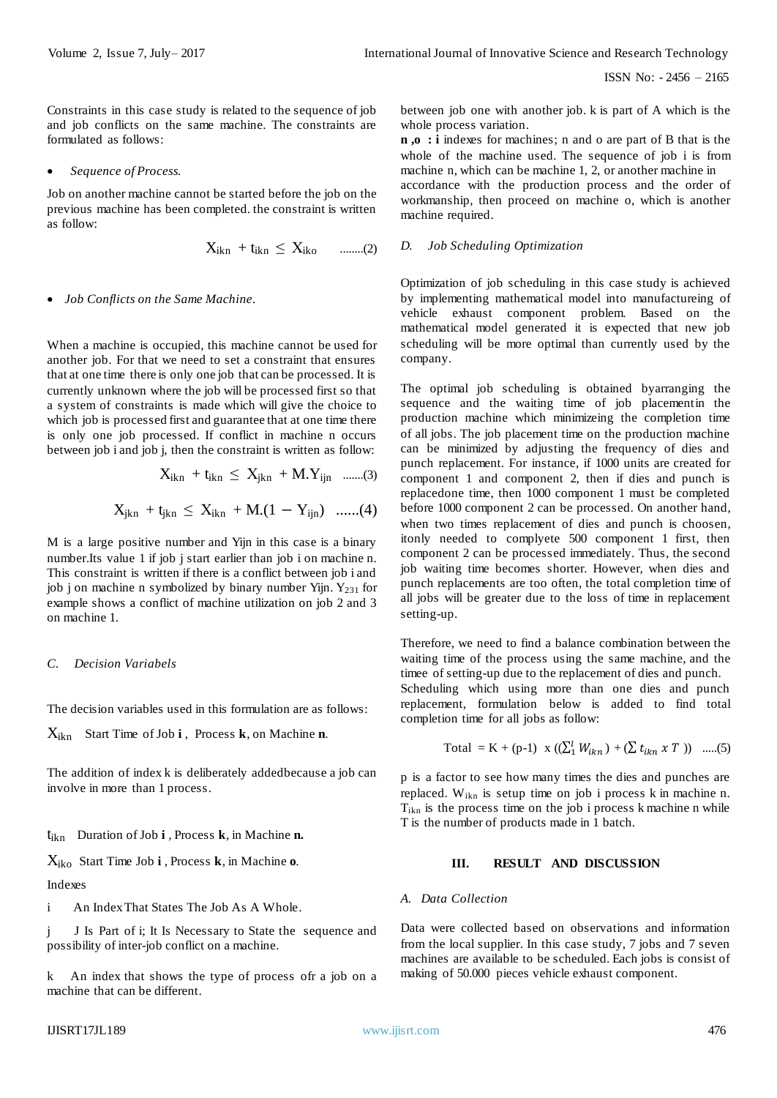Constraints in this case study is related to the sequence of job and job conflicts on the same machine. The constraints are formulated as follows:

*Sequence of Process.*

Job on another machine cannot be started before the job on the previous machine has been completed. the constraint is written as follow:

$$
X_{ikn} + t_{ikn} \leq X_{iko} \qquad \qquad \ldots \ldots \ldots (2)
$$

#### *Job Conflicts on the Same Machine.*

When a machine is occupied, this machine cannot be used for another job. For that we need to set a constraint that ensures that at one time there is only one job that can be processed. It is currently unknown where the job will be processed first so that a system of constraints is made which will give the choice to which job is processed first and guarantee that at one time there is only one job processed. If conflict in machine n occurs between job i and job j, then the constraint is written as follow:

$$
X_{ikn} + t_{ikn} \leq X_{jkn} + M.Y_{ijn}
$$
 ......(3)

$$
X_{jkn} \ + t_{jkn} \ \leq \ X_{ikn} \ + M.(1 \ - \ Y_{ijn}) \quad ......(4)
$$

M is a large positive number and Yijn in this case is a binary number.Its value 1 if job j start earlier than job i on machine n. This constraint is written if there is a conflict between job i and job j on machine n symbolized by binary number Yijn.  $Y_{231}$  for example shows a conflict of machine utilization on job 2 and 3 on machine 1.

#### *C. Decision Variabels*

The decision variables used in this formulation are as follows:

Xikn Start Time of Job **i** , Process **k**, on Machine **n**.

The addition of index k is deliberately addedbecause a job can involve in more than 1 process.

#### tikn Duration of Job **i** , Process **k**, in Machine **n.**

Xiko Start Time Job **i** , Process **k**, in Machine **o**.

Indexes

i An Index That States The Job As A Whole.

j J Is Part of i; It Is Necessary to State the sequence and possibility of inter-job conflict on a machine.

k An index that shows the type of process ofr a job on a machine that can be different.

between job one with another job. k is part of A which is the whole process variation.

**n ,o : i** indexes for machines; n and o are part of B that is the whole of the machine used. The sequence of job i is from machine n, which can be machine 1, 2, or another machine in accordance with the production process and the order of workmanship, then proceed on machine o, which is another machine required.

#### *D. Job Scheduling Optimization*

Optimization of job scheduling in this case study is achieved by implementing mathematical model into manufactureing of vehicle exhaust component problem. Based on the mathematical model generated it is expected that new job scheduling will be more optimal than currently used by the company.

The optimal job scheduling is obtained byarranging the sequence and the waiting time of job placementin the production machine which minimizeing the completion time of all jobs. The job placement time on the production machine can be minimized by adjusting the frequency of dies and punch replacement. For instance, if 1000 units are created for component 1 and component 2, then if dies and punch is replacedone time, then 1000 component 1 must be completed before 1000 component 2 can be processed. On another hand, when two times replacement of dies and punch is choosen, itonly needed to complyete 500 component 1 first, then component 2 can be processed immediately. Thus, the second job waiting time becomes shorter. However, when dies and punch replacements are too often, the total completion time of all jobs will be greater due to the loss of time in replacement setting-up.

Therefore, we need to find a balance combination between the waiting time of the process using the same machine, and the timee of setting-up due to the replacement of dies and punch. Scheduling which using more than one dies and punch

replacement, formulation below is added to find total completion time for all jobs as follow:

Total = K + (p-1) x ((
$$
\sum_{i}^{l} W_{ikn}
$$
) + ( $\sum t_{ikn}$  x T)) .....(5)

p is a factor to see how many times the dies and punches are replaced. Wikn is setup time on job i process k in machine n.  $T_{ikn}$  is the process time on the job i process k machine n while T is the number of products made in 1 batch.

#### **III. RESULT AND DISCUSSION**

#### *A. Data Collection*

Data were collected based on observations and information from the local supplier. In this case study, 7 jobs and 7 seven machines are available to be scheduled. Each jobs is consist of making of 50.000 pieces vehicle exhaust component.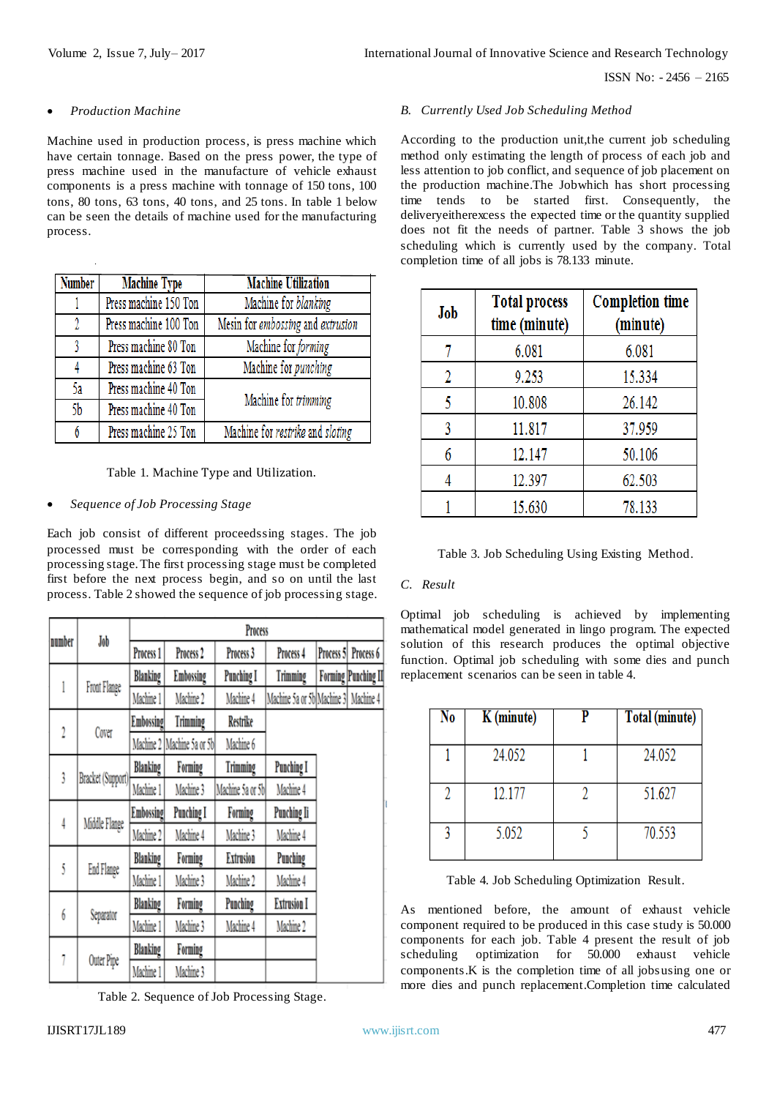## *Production Machine*

Machine used in production process, is press machine which have certain tonnage. Based on the press power, the type of press machine used in the manufacture of vehicle exhaust components is a press machine with tonnage of 150 tons, 100 tons, 80 tons, 63 tons, 40 tons, and 25 tons. In table 1 below can be seen the details of machine used for the manufacturing process.

| <b>Number</b> | <b>Machine Type</b>   | <b>Machine Utilization</b>        |  |
|---------------|-----------------------|-----------------------------------|--|
|               | Press machine 150 Ton | Machine for blanking              |  |
| 2             | Press machine 100 Ton | Mesin for embossing and extrusion |  |
| R             | Press machine 80 Ton  | Machine for forming               |  |
|               | Press machine 63 Ton  | Machine for punching              |  |
| 5a            | Press machine 40 Ton  | Machine for trimming              |  |
| 5b            | Press machine 40 Ton  |                                   |  |
| 6             | Press machine 25 Ton  | Machine for restrike and sloting  |  |

## Table 1. Machine Type and Utilization.

## *Sequence of Job Processing Stage*

Each job consist of different proceedssing stages. The job processed must be corresponding with the order of each processing stage. The first processing stage must be completed first before the next process begin, and so on until the last process. Table 2 showed the sequence of job processing stage.

| number | Job               | Process              |                      |                   |                            |           |                           |
|--------|-------------------|----------------------|----------------------|-------------------|----------------------------|-----------|---------------------------|
|        |                   | Process <sub>1</sub> | Process <sub>2</sub> | Process 3         | Process 4                  | Process 5 | Process 6                 |
| 1      | Front Flange      | Blanking             | Embossing            | <b>Punching I</b> | Trimming                   |           | <b>Forming Punching I</b> |
|        |                   | Machine 1            | Machine 2            | Machine 4         | Machine 5a or 5b Machine 3 |           | Machine 4                 |
| 2      | Cover             | <b>Embossing</b>     | Trimming             | Restrike          |                            |           |                           |
|        |                   | Machine 2            | Machine 5a or 5b     | Machine 6         |                            |           |                           |
| 3      | Bracket (Support) | Blanking             | Forming              | Trimming          | <b>Punching I</b>          |           |                           |
|        |                   | Machine 1            | Machine 3            | Machine 5a or 5b  | Machine 4                  |           |                           |
| 4      | Middle Flange     | <b>Embossing</b>     | <b>Punching I</b>    | Forming           | Punching Ii                |           |                           |
|        |                   | Machine 2            | Machine 4            | Machine 3         | Machine 4                  |           |                           |
|        |                   | Blanking             | Forming              | <b>Extrusion</b>  | Punching                   |           |                           |
| Ŝ      | End Flange        | Machine 1            | Machine 3            | Machine 2         | Machine 4                  |           |                           |
| 6      | Separator         | Blanking             | Forming              | Punching          | <b>Extrusion I</b>         |           |                           |
|        |                   | Machine 1            | Machine 3            | Machine 4         | Machine 2                  |           |                           |
|        | Outer Pipe        | Blanking             | Forming              |                   |                            |           |                           |
|        |                   | Machine 1            | Machine 3            |                   |                            |           |                           |

Table 2. Sequence of Job Processing Stage.

# *B. Currently Used Job Scheduling Method*

According to the production unit,the current job scheduling method only estimating the length of process of each job and less attention to job conflict, and sequence of job placement on the production machine.The Jobwhich has short processing time tends to be started first. Consequently, the deliveryeitherexcess the expected time or the quantity supplied does not fit the needs of partner. Table 3 shows the job scheduling which is currently used by the company. Total completion time of all jobs is 78.133 minute.

| Job | <b>Total process</b><br>time (minute) | <b>Completion time</b><br>(minute) |
|-----|---------------------------------------|------------------------------------|
| 7   | 6.081                                 | 6.081                              |
| 2   | 9.253                                 | 15.334                             |
| 5   | 10.808                                | 26.142                             |
| 3   | 11.817                                | 37.959                             |
| 6   | 12.147                                | 50.106                             |
|     | 12.397                                | 62.503                             |
|     | 15.630                                | 78.133                             |

Table 3. Job Scheduling Using Existing Method.

## *C. Result*

Optimal job scheduling is achieved by implementing mathematical model generated in lingo program. The expected solution of this research produces the optimal objective function. Optimal job scheduling with some dies and punch replacement scenarios can be seen in table 4.

| No | K (minute) | Total (minute) |
|----|------------|----------------|
|    | 24.052     | 24.052         |
|    | 12.177     | 51.627         |
|    | 5.052      | 70.553         |

Table 4. Job Scheduling Optimization Result.

As mentioned before, the amount of exhaust vehicle component required to be produced in this case study is 50.000 components for each job. Table 4 present the result of job scheduling optimization for 50.000 exhaust vehicle components.K is the completion time of all jobsusing one or more dies and punch replacement.Completion time calculated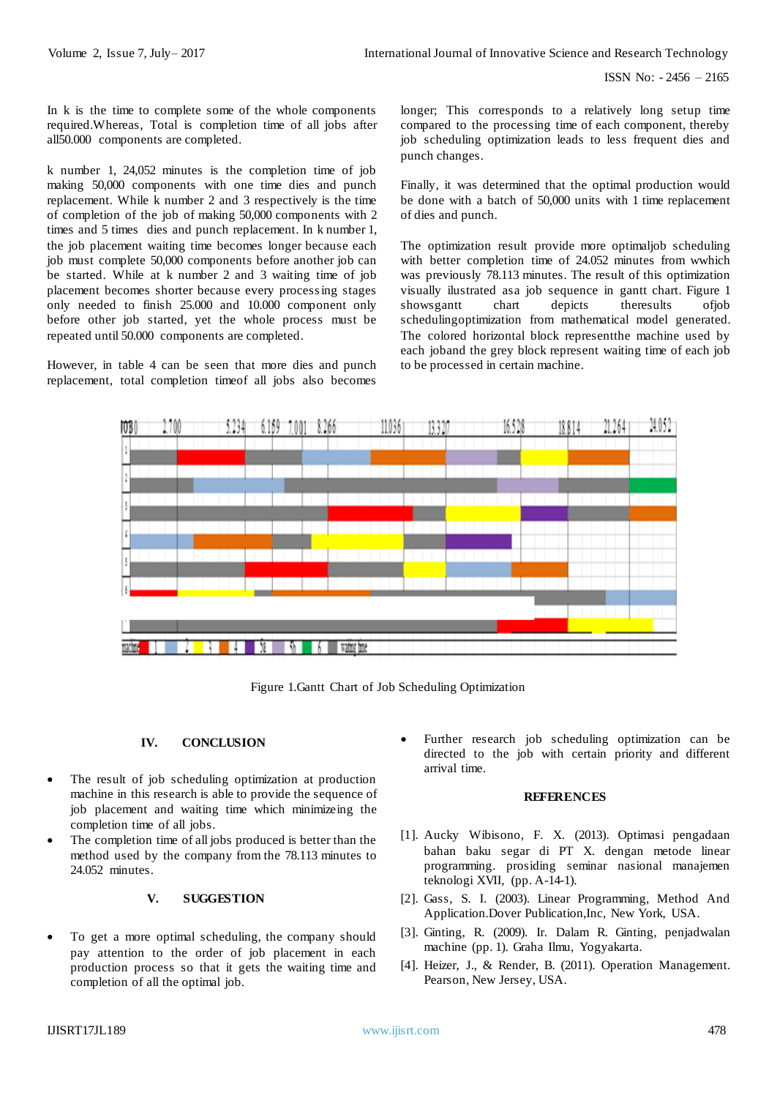ISSN No: - 2456 – 2165

In k is the time to complete some of the whole components required.Whereas, Total is completion time of all jobs after all50.000 components are completed.

k number 1, 24,052 minutes is the completion time of job making 50,000 components with one time dies and punch replacement. While k number 2 and 3 respectively is the time of completion of the job of making 50,000 components with 2 times and 5 times dies and punch replacement. In k number 1, the job placement waiting time becomes longer because each job must complete 50,000 components before another job can be started. While at k number 2 and 3 waiting time of job placement becomes shorter because every processing stages only needed to finish 25.000 and 10.000 component only before other job started, yet the whole process must be repeated until 50.000 components are completed.

However, in table 4 can be seen that more dies and punch replacement, total completion timeof all jobs also becomes

longer; This corresponds to a relatively long setup time compared to the processing time of each component, thereby job scheduling optimization leads to less frequent dies and punch changes.

Finally, it was determined that the optimal production would be done with a batch of 50,000 units with 1 time replacement of dies and punch.

The optimization result provide more optimaljob scheduling with better completion time of 24.052 minutes from wwhich was previously 78.113 minutes. The result of this optimization visually ilustrated asa job sequence in gantt chart. Figure 1<br>showsgantt chart depicts there sults of job showsgantt chart depicts theresults of ob schedulingoptimization from mathematical model generated. The colored horizontal block representthe machine used by each joband the grey block represent waiting time of each job to be processed in certain machine.



Figure 1.Gantt Chart of Job Scheduling Optimization

# **IV. CONCLUSION**

- The result of job scheduling optimization at production machine in this research is able to provide the sequence of job placement and waiting time which minimizeing the completion time of all jobs.
- The completion time of all jobs produced is better than the method used by the company from the 78.113 minutes to 24.052 minutes.

# **V. SUGGESTION**

 To get a more optimal scheduling, the company should pay attention to the order of job placement in each production process so that it gets the waiting time and completion of all the optimal job.

 Further research job scheduling optimization can be directed to the job with certain priority and different arrival time.

## **REFERENCES**

- [1]. Aucky Wibisono, F. X. (2013). Optimasi pengadaan bahan baku segar di PT X. dengan metode linear programming. prosiding seminar nasional manajemen teknologi XVII, (pp. A-14-1).
- [2]. Gass, S. I. (2003). Linear Programming, Method And Application.Dover Publication,Inc, New York, USA.
- [3]. Ginting, R. (2009). Ir. Dalam R. Ginting, penjadwalan machine (pp. 1). Graha Ilmu, Yogyakarta.
- [4]. Heizer, J., & Render, B. (2011). Operation Management. Pearson, New Jersey, USA.